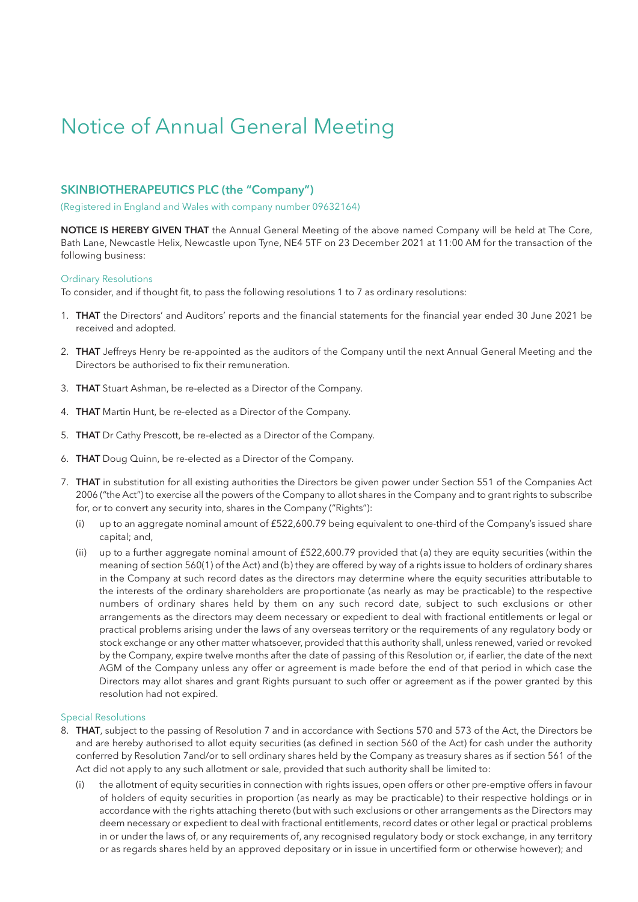# Notice of Annual General Meeting

### **SKINBIOTHERAPEUTICS PLC (the "Company")**

(Registered in England and Wales with company number 09632164)

**NOTICE IS HEREBY GIVEN THAT** the Annual General Meeting of the above named Company will be held at The Core, Bath Lane, Newcastle Helix, Newcastle upon Tyne, NE4 5TF on 23 December 2021 at 11:00 AM for the transaction of the following business:

#### Ordinary Resolutions

To consider, and if thought fit, to pass the following resolutions 1 to 7 as ordinary resolutions:

- 1. **THAT** the Directors' and Auditors' reports and the financial statements for the financial year ended 30 June 2021 be received and adopted.
- 2. **THAT** Jeffreys Henry be re-appointed as the auditors of the Company until the next Annual General Meeting and the Directors be authorised to fix their remuneration.
- 3. **THAT** Stuart Ashman, be re-elected as a Director of the Company.
- 4. **THAT** Martin Hunt, be re-elected as a Director of the Company.
- 5. **THAT** Dr Cathy Prescott, be re-elected as a Director of the Company.
- 6. **THAT** Doug Quinn, be re-elected as a Director of the Company.
- 7. **THAT** in substitution for all existing authorities the Directors be given power under Section 551 of the Companies Act 2006 ("the Act") to exercise all the powers of the Company to allot shares in the Company and to grant rights to subscribe for, or to convert any security into, shares in the Company ("Rights"):
	- (i) up to an aggregate nominal amount of £522,600.79 being equivalent to one-third of the Company's issued share capital; and,
	- (ii) up to a further aggregate nominal amount of £522,600.79 provided that (a) they are equity securities (within the meaning of section 560(1) of the Act) and (b) they are offered by way of a rights issue to holders of ordinary shares in the Company at such record dates as the directors may determine where the equity securities attributable to the interests of the ordinary shareholders are proportionate (as nearly as may be practicable) to the respective numbers of ordinary shares held by them on any such record date, subject to such exclusions or other arrangements as the directors may deem necessary or expedient to deal with fractional entitlements or legal or practical problems arising under the laws of any overseas territory or the requirements of any regulatory body or stock exchange or any other matter whatsoever, provided that this authority shall, unless renewed, varied or revoked by the Company, expire twelve months after the date of passing of this Resolution or, if earlier, the date of the next AGM of the Company unless any offer or agreement is made before the end of that period in which case the Directors may allot shares and grant Rights pursuant to such offer or agreement as if the power granted by this resolution had not expired.

#### Special Resolutions

- 8. **THAT**, subject to the passing of Resolution 7 and in accordance with Sections 570 and 573 of the Act, the Directors be and are hereby authorised to allot equity securities (as defined in section 560 of the Act) for cash under the authority conferred by Resolution 7and/or to sell ordinary shares held by the Company as treasury shares as if section 561 of the Act did not apply to any such allotment or sale, provided that such authority shall be limited to:
	- the allotment of equity securities in connection with rights issues, open offers or other pre-emptive offers in favour of holders of equity securities in proportion (as nearly as may be practicable) to their respective holdings or in accordance with the rights attaching thereto (but with such exclusions or other arrangements as the Directors may deem necessary or expedient to deal with fractional entitlements, record dates or other legal or practical problems in or under the laws of, or any requirements of, any recognised regulatory body or stock exchange, in any territory or as regards shares held by an approved depositary or in issue in uncertified form or otherwise however); and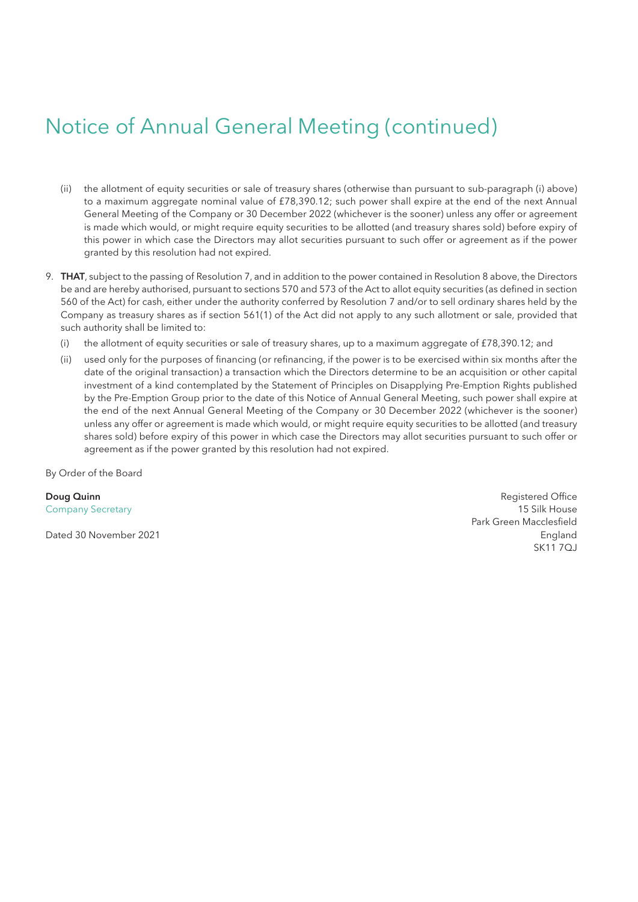# Notice of Annual General Meeting (continued)

- (ii) the allotment of equity securities or sale of treasury shares (otherwise than pursuant to sub-paragraph (i) above) to a maximum aggregate nominal value of £78,390.12; such power shall expire at the end of the next Annual General Meeting of the Company or 30 December 2022 (whichever is the sooner) unless any offer or agreement is made which would, or might require equity securities to be allotted (and treasury shares sold) before expiry of this power in which case the Directors may allot securities pursuant to such offer or agreement as if the power granted by this resolution had not expired.
- 9. **THAT**, subject to the passing of Resolution 7, and in addition to the power contained in Resolution 8 above, the Directors be and are hereby authorised, pursuant to sections 570 and 573 of the Act to allot equity securities (as defined in section 560 of the Act) for cash, either under the authority conferred by Resolution 7 and/or to sell ordinary shares held by the Company as treasury shares as if section 561(1) of the Act did not apply to any such allotment or sale, provided that such authority shall be limited to:
	- (i) the allotment of equity securities or sale of treasury shares, up to a maximum aggregate of £78,390.12; and
	- (ii) used only for the purposes of financing (or refinancing, if the power is to be exercised within six months after the date of the original transaction) a transaction which the Directors determine to be an acquisition or other capital investment of a kind contemplated by the Statement of Principles on Disapplying Pre-Emption Rights published by the Pre-Emption Group prior to the date of this Notice of Annual General Meeting, such power shall expire at the end of the next Annual General Meeting of the Company or 30 December 2022 (whichever is the sooner) unless any offer or agreement is made which would, or might require equity securities to be allotted (and treasury shares sold) before expiry of this power in which case the Directors may allot securities pursuant to such offer or agreement as if the power granted by this resolution had not expired.

By Order of the Board

**Doug Quinn** Registered Office **Contract Contract Contract Contract Contract Contract Contract Contract Contract Contract Contract Contract Contract Contract Contract Contract Contract Contract Contract Contract Contract C** Company Secretary 15 Silk House Park Green Macclesfield Dated 30 November 2021 England SK11 7QJ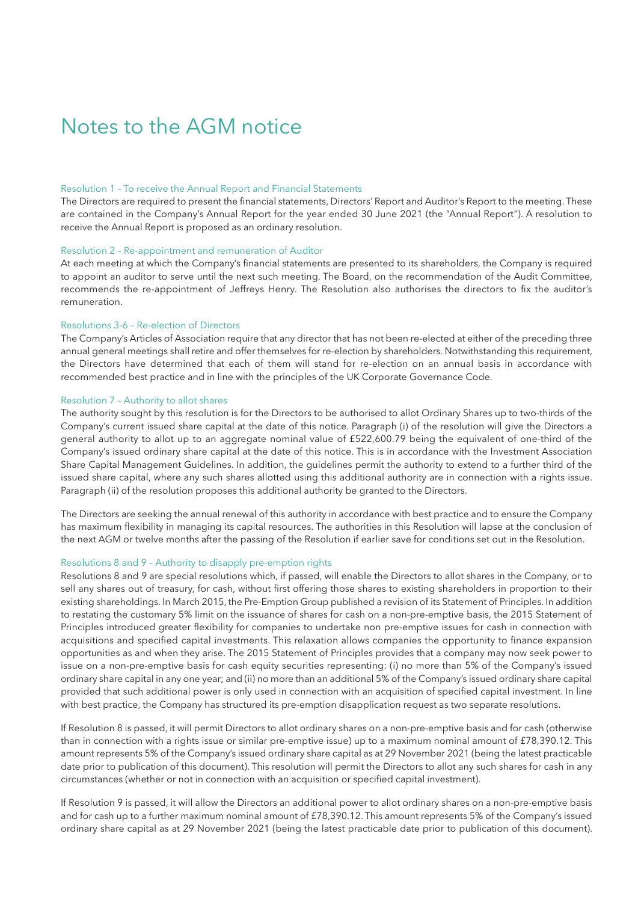### Notes to the AGM notice

#### Resolution 1 – To receive the Annual Report and Financial Statements

The Directors are required to present the financial statements, Directors' Report and Auditor's Report to the meeting. These are contained in the Company's Annual Report for the year ended 30 June 2021 (the "Annual Report"). A resolution to receive the Annual Report is proposed as an ordinary resolution.

#### Resolution 2 – Re-appointment and remuneration of Auditor

At each meeting at which the Company's financial statements are presented to its shareholders, the Company is required to appoint an auditor to serve until the next such meeting. The Board, on the recommendation of the Audit Committee, recommends the re-appointment of Jeffreys Henry. The Resolution also authorises the directors to fix the auditor's remuneration.

#### Resolutions 3-6 – Re-election of Directors

The Company's Articles of Association require that any director that has not been re-elected at either of the preceding three annual general meetings shall retire and offer themselves for re-election by shareholders. Notwithstanding this requirement, the Directors have determined that each of them will stand for re-election on an annual basis in accordance with recommended best practice and in line with the principles of the UK Corporate Governance Code.

#### Resolution 7 – Authority to allot shares

The authority sought by this resolution is for the Directors to be authorised to allot Ordinary Shares up to two-thirds of the Company's current issued share capital at the date of this notice. Paragraph (i) of the resolution will give the Directors a general authority to allot up to an aggregate nominal value of £522,600.79 being the equivalent of one-third of the Company's issued ordinary share capital at the date of this notice. This is in accordance with the Investment Association Share Capital Management Guidelines. In addition, the guidelines permit the authority to extend to a further third of the issued share capital, where any such shares allotted using this additional authority are in connection with a rights issue. Paragraph (ii) of the resolution proposes this additional authority be granted to the Directors.

The Directors are seeking the annual renewal of this authority in accordance with best practice and to ensure the Company has maximum flexibility in managing its capital resources. The authorities in this Resolution will lapse at the conclusion of the next AGM or twelve months after the passing of the Resolution if earlier save for conditions set out in the Resolution.

#### Resolutions 8 and 9 – Authority to disapply pre-emption rights

Resolutions 8 and 9 are special resolutions which, if passed, will enable the Directors to allot shares in the Company, or to sell any shares out of treasury, for cash, without first offering those shares to existing shareholders in proportion to their existing shareholdings. In March 2015, the Pre-Emption Group published a revision of its Statement of Principles. In addition to restating the customary 5% limit on the issuance of shares for cash on a non-pre-emptive basis, the 2015 Statement of Principles introduced greater flexibility for companies to undertake non pre-emptive issues for cash in connection with acquisitions and specified capital investments. This relaxation allows companies the opportunity to finance expansion opportunities as and when they arise. The 2015 Statement of Principles provides that a company may now seek power to issue on a non-pre-emptive basis for cash equity securities representing: (i) no more than 5% of the Company's issued ordinary share capital in any one year; and (ii) no more than an additional 5% of the Company's issued ordinary share capital provided that such additional power is only used in connection with an acquisition of specified capital investment. In line with best practice, the Company has structured its pre-emption disapplication request as two separate resolutions.

If Resolution 8 is passed, it will permit Directors to allot ordinary shares on a non-pre-emptive basis and for cash (otherwise than in connection with a rights issue or similar pre-emptive issue) up to a maximum nominal amount of £78,390.12. This amount represents 5% of the Company's issued ordinary share capital as at 29 November 2021 (being the latest practicable date prior to publication of this document). This resolution will permit the Directors to allot any such shares for cash in any circumstances (whether or not in connection with an acquisition or specified capital investment).

If Resolution 9 is passed, it will allow the Directors an additional power to allot ordinary shares on a non-pre-emptive basis and for cash up to a further maximum nominal amount of £78,390.12. This amount represents 5% of the Company's issued ordinary share capital as at 29 November 2021 (being the latest practicable date prior to publication of this document).